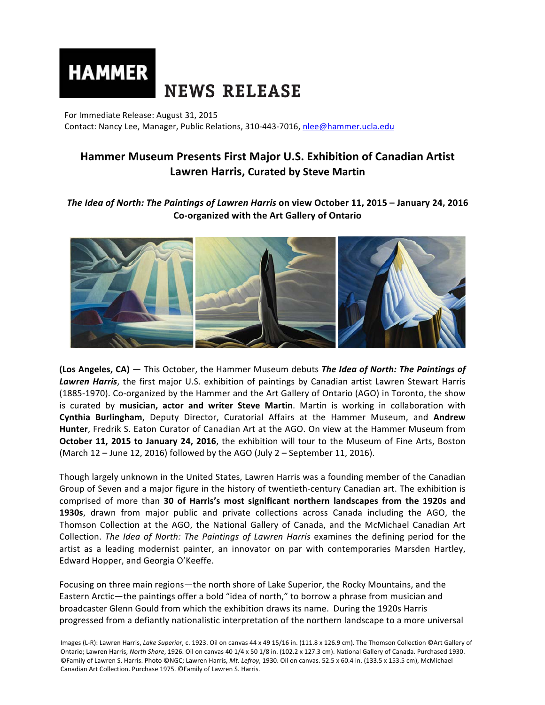

For Immediate Release: August 31, 2015 Contact: Nancy Lee, Manager, Public Relations, 310-443-7016, nlee@hammer.ucla.edu

# **Hammer Museum Presents First Major U.S. Exhibition of Canadian Artist Lawren Harris, Curated by Steve Martin**

**The Idea of North: The Paintings of Lawren Harris on view October 11, 2015 – January 24, 2016 Co-organized with the Art Gallery of Ontario**



**(Los Angeles, CA)** — This October, the Hammer Museum debuts *The Idea of North: The Paintings of* Lawren Harris, the first major U.S. exhibition of paintings by Canadian artist Lawren Stewart Harris (1885-1970). Co-organized by the Hammer and the Art Gallery of Ontario (AGO) in Toronto, the show is curated by **musician, actor and writer Steve Martin**. Martin is working in collaboration with **Cynthia Burlingham**, Deputy Director, Curatorial Affairs at the Hammer Museum, and Andrew **Hunter**, Fredrik S. Eaton Curator of Canadian Art at the AGO. On view at the Hammer Museum from **October 11, 2015 to January 24, 2016**, the exhibition will tour to the Museum of Fine Arts, Boston (March  $12$  – June  $12$ , 2016) followed by the AGO (July 2 – September 11, 2016).

Though largely unknown in the United States, Lawren Harris was a founding member of the Canadian Group of Seven and a major figure in the history of twentieth-century Canadian art. The exhibition is comprised of more than 30 of Harris's most significant northern landscapes from the 1920s and **1930s**, drawn from major public and private collections across Canada including the AGO, the Thomson Collection at the AGO, the National Gallery of Canada, and the McMichael Canadian Art Collection. *The Idea of North: The Paintings of Lawren Harris* examines the defining period for the artist as a leading modernist painter, an innovator on par with contemporaries Marsden Hartley, Edward Hopper, and Georgia O'Keeffe.

Focusing on three main regions—the north shore of Lake Superior, the Rocky Mountains, and the Eastern Arctic—the paintings offer a bold "idea of north," to borrow a phrase from musician and broadcaster Glenn Gould from which the exhibition draws its name. During the 1920s Harris progressed from a defiantly nationalistic interpretation of the northern landscape to a more universal

Images (L-R): Lawren Harris, *Lake Superior*, c. 1923. Oil on canvas 44 x 49 15/16 in. (111.8 x 126.9 cm). The Thomson Collection ©Art Gallery of Ontario; Lawren Harris, *North Shore*, 1926. Oil on canvas 40 1/4 x 50 1/8 in. (102.2 x 127.3 cm). National Gallery of Canada. Purchased 1930. ©Family of Lawren S. Harris. Photo ©NGC; Lawren Harris, *Mt. Lefroy*, 1930. Oil on canvas. 52.5 x 60.4 in. (133.5 x 153.5 cm), McMichael Canadian Art Collection. Purchase 1975. ©Family of Lawren S. Harris.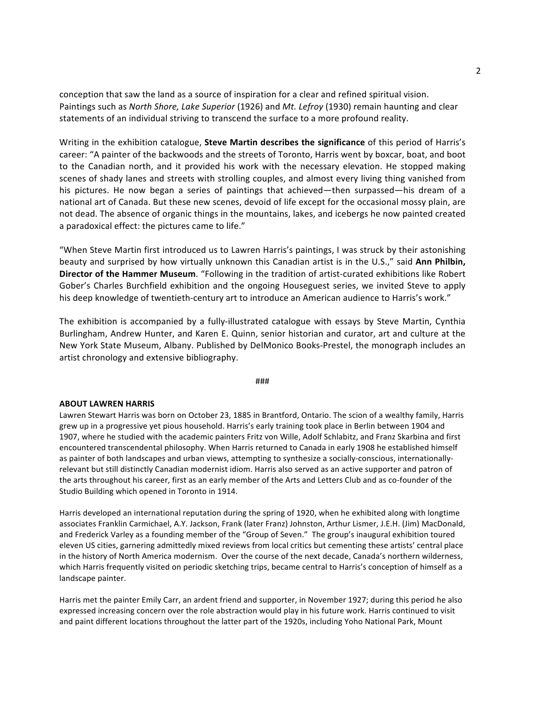conception that saw the land as a source of inspiration for a clear and refined spiritual vision. Paintings such as *North Shore, Lake Superior* (1926) and *Mt. Lefroy* (1930) remain haunting and clear statements of an individual striving to transcend the surface to a more profound reality.

Writing in the exhibition catalogue, **Steve Martin describes the significance** of this period of Harris's career: "A painter of the backwoods and the streets of Toronto, Harris went by boxcar, boat, and boot to the Canadian north, and it provided his work with the necessary elevation. He stopped making scenes of shady lanes and streets with strolling couples, and almost every living thing vanished from his pictures. He now began a series of paintings that achieved—then surpassed—his dream of a national art of Canada. But these new scenes, devoid of life except for the occasional mossy plain, are not dead. The absence of organic things in the mountains, lakes, and icebergs he now painted created a paradoxical effect: the pictures came to life."

"When Steve Martin first introduced us to Lawren Harris's paintings, I was struck by their astonishing beauty and surprised by how virtually unknown this Canadian artist is in the U.S.," said **Ann Philbin,** Director of the Hammer Museum. "Following in the tradition of artist-curated exhibitions like Robert Gober's Charles Burchfield exhibition and the ongoing Houseguest series, we invited Steve to apply his deep knowledge of twentieth-century art to introduce an American audience to Harris's work."

The exhibition is accompanied by a fully-illustrated catalogue with essays by Steve Martin, Cynthia Burlingham, Andrew Hunter, and Karen E. Quinn, senior historian and curator, art and culture at the New York State Museum, Albany. Published by DelMonico Books-Prestel, the monograph includes an artist chronology and extensive bibliography.

###

#### **ABOUT LAWREN HARRIS**

Lawren Stewart Harris was born on October 23, 1885 in Brantford, Ontario. The scion of a wealthy family, Harris grew up in a progressive yet pious household. Harris's early training took place in Berlin between 1904 and 1907, where he studied with the academic painters Fritz von Wille, Adolf Schlabitz, and Franz Skarbina and first encountered transcendental philosophy. When Harris returned to Canada in early 1908 he established himself as painter of both landscapes and urban views, attempting to synthesize a socially-conscious, internationallyrelevant but still distinctly Canadian modernist idiom. Harris also served as an active supporter and patron of the arts throughout his career, first as an early member of the Arts and Letters Club and as co-founder of the Studio Building which opened in Toronto in 1914.

Harris developed an international reputation during the spring of 1920, when he exhibited along with longtime associates Franklin Carmichael, A.Y. Jackson, Frank (later Franz) Johnston, Arthur Lismer, J.E.H. (Jim) MacDonald, and Frederick Varley as a founding member of the "Group of Seven." The group's inaugural exhibition toured eleven US cities, garnering admittedly mixed reviews from local critics but cementing these artists' central place in the history of North America modernism. Over the course of the next decade, Canada's northern wilderness, which Harris frequently visited on periodic sketching trips, became central to Harris's conception of himself as a landscape painter.

Harris met the painter Emily Carr, an ardent friend and supporter, in November 1927; during this period he also expressed increasing concern over the role abstraction would play in his future work. Harris continued to visit and paint different locations throughout the latter part of the 1920s, including Yoho National Park, Mount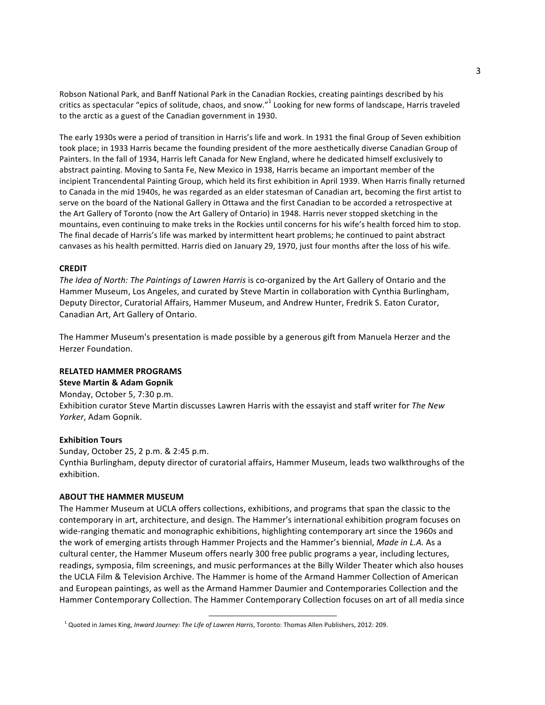Robson National Park, and Banff National Park in the Canadian Rockies, creating paintings described by his critics as spectacular "epics of solitude, chaos, and snow."<sup>1</sup> Looking for new forms of landscape, Harris traveled to the arctic as a guest of the Canadian government in 1930.

The early 1930s were a period of transition in Harris's life and work. In 1931 the final Group of Seven exhibition took place; in 1933 Harris became the founding president of the more aesthetically diverse Canadian Group of Painters. In the fall of 1934, Harris left Canada for New England, where he dedicated himself exclusively to abstract painting. Moving to Santa Fe, New Mexico in 1938, Harris became an important member of the incipient Trancendental Painting Group, which held its first exhibition in April 1939. When Harris finally returned to Canada in the mid 1940s, he was regarded as an elder statesman of Canadian art, becoming the first artist to serve on the board of the National Gallery in Ottawa and the first Canadian to be accorded a retrospective at the Art Gallery of Toronto (now the Art Gallery of Ontario) in 1948. Harris never stopped sketching in the mountains, even continuing to make treks in the Rockies until concerns for his wife's health forced him to stop. The final decade of Harris's life was marked by intermittent heart problems; he continued to paint abstract canvases as his health permitted. Harris died on January 29, 1970, just four months after the loss of his wife.

## **CREDIT**

The Idea of North: The Paintings of Lawren Harris is co-organized by the Art Gallery of Ontario and the Hammer Museum, Los Angeles, and curated by Steve Martin in collaboration with Cynthia Burlingham, Deputy Director, Curatorial Affairs, Hammer Museum, and Andrew Hunter, Fredrik S. Eaton Curator, Canadian Art, Art Gallery of Ontario.

The Hammer Museum's presentation is made possible by a generous gift from Manuela Herzer and the Herzer Foundation.

## **RELATED HAMMER PROGRAMS**

**Steve Martin & Adam Gopnik** Monday, October 5, 7:30 p.m. Exhibition curator Steve Martin discusses Lawren Harris with the essayist and staff writer for The New *Yorker*, Adam Gopnik.

#### **Exhibition Tours**

Sunday, October 25, 2 p.m. & 2:45 p.m. Cynthia Burlingham, deputy director of curatorial affairs, Hammer Museum, leads two walkthroughs of the exhibition.

## **ABOUT THE HAMMER MUSEUM**

The Hammer Museum at UCLA offers collections, exhibitions, and programs that span the classic to the contemporary in art, architecture, and design. The Hammer's international exhibition program focuses on wide-ranging thematic and monographic exhibitions, highlighting contemporary art since the 1960s and the work of emerging artists through Hammer Projects and the Hammer's biennial, Made in L.A. As a cultural center, the Hammer Museum offers nearly 300 free public programs a year, including lectures, readings, symposia, film screenings, and music performances at the Billy Wilder Theater which also houses the UCLA Film & Television Archive. The Hammer is home of the Armand Hammer Collection of American and European paintings, as well as the Armand Hammer Daumier and Contemporaries Collection and the Hammer Contemporary Collection. The Hammer Contemporary Collection focuses on art of all media since

<u> 1989 - Johann Stein, markin film yn y breninn y breninn y breninn y breninn y breninn y breninn y breninn y b</u>

<sup>1</sup> Quoted in James King, *Inward Journey: The Life of Lawren Harris*, Toronto: Thomas Allen Publishers, 2012: 209.